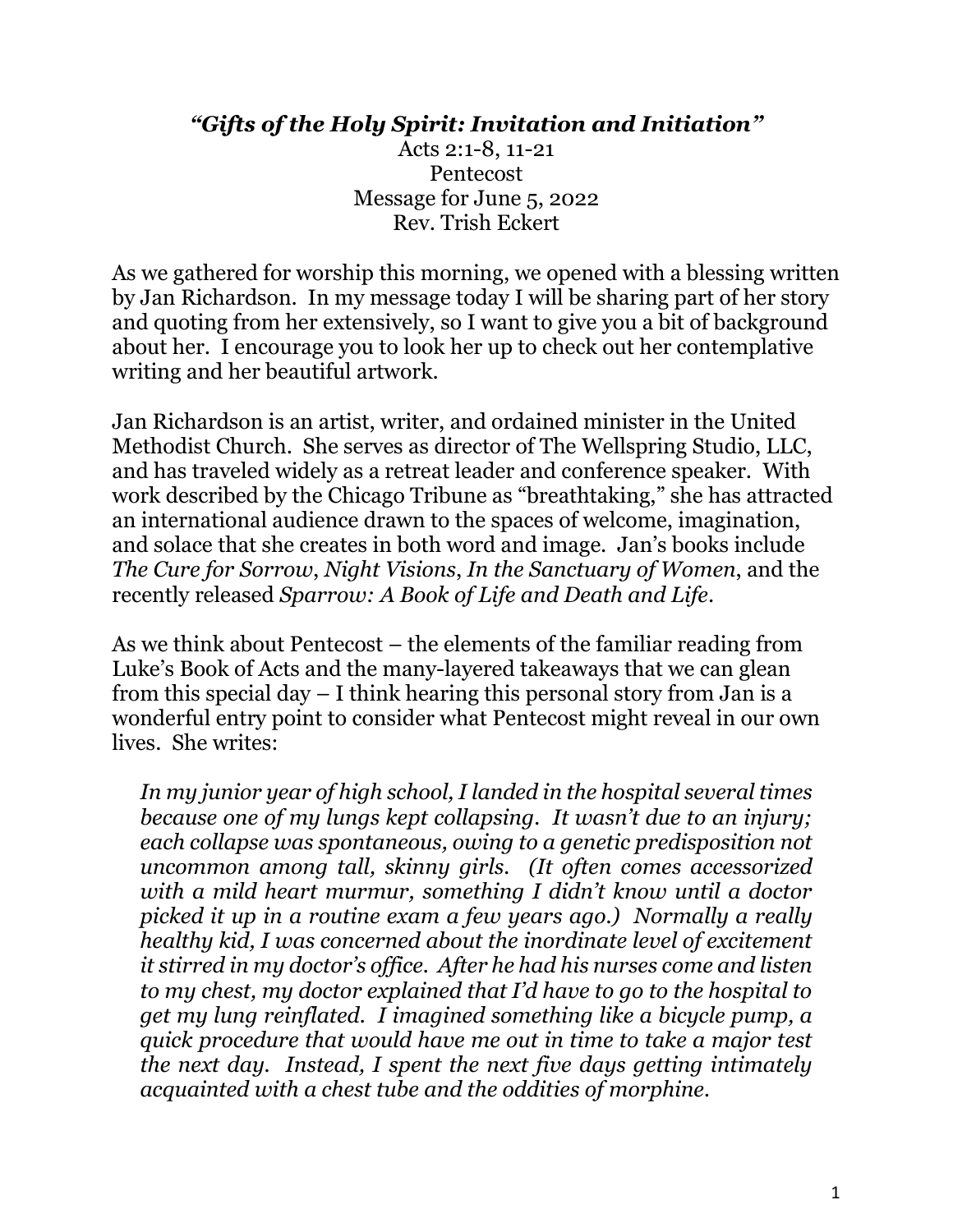## *"Gifts of the Holy Spirit: Invitation and Initiation"*

Acts 2:1-8, 11-21 Pentecost Message for June 5, 2022 Rev. Trish Eckert

As we gathered for worship this morning, we opened with a blessing written by Jan Richardson. In my message today I will be sharing part of her story and quoting from her extensively, so I want to give you a bit of background about her. I encourage you to look her up to check out her contemplative writing and her beautiful artwork.

Jan Richardson is an artist, writer, and ordained minister in the United Methodist Church. She serves as director of The Wellspring Studio, LLC, and has traveled widely as a retreat leader and conference speaker. With work described by the Chicago Tribune as "breathtaking," she has attracted an international audience drawn to the spaces of welcome, imagination, and solace that she creates in both word and image. Jan's books include *The Cure for Sorrow*, *Night Visions*, *In the Sanctuary of Women*, and the recently released *Sparrow: A Book of Life and Death and Life*.

As we think about Pentecost – the elements of the familiar reading from Luke's Book of Acts and the many-layered takeaways that we can glean from this special day – I think hearing this personal story from Jan is a wonderful entry point to consider what Pentecost might reveal in our own lives. She writes:

*In my junior year of high school, I landed in the hospital several times because one of my lungs kept collapsing. It wasn't due to an injury; each collapse was spontaneous, owing to a genetic predisposition not uncommon among tall, skinny girls. (It often comes accessorized with a mild heart murmur, something I didn't know until a doctor picked it up in a routine exam a few years ago.) Normally a really healthy kid, I was concerned about the inordinate level of excitement it stirred in my doctor's office. After he had his nurses come and listen to my chest, my doctor explained that I'd have to go to the hospital to get my lung reinflated. I imagined something like a bicycle pump, a quick procedure that would have me out in time to take a major test the next day. Instead, I spent the next five days getting intimately acquainted with a chest tube and the oddities of morphine.*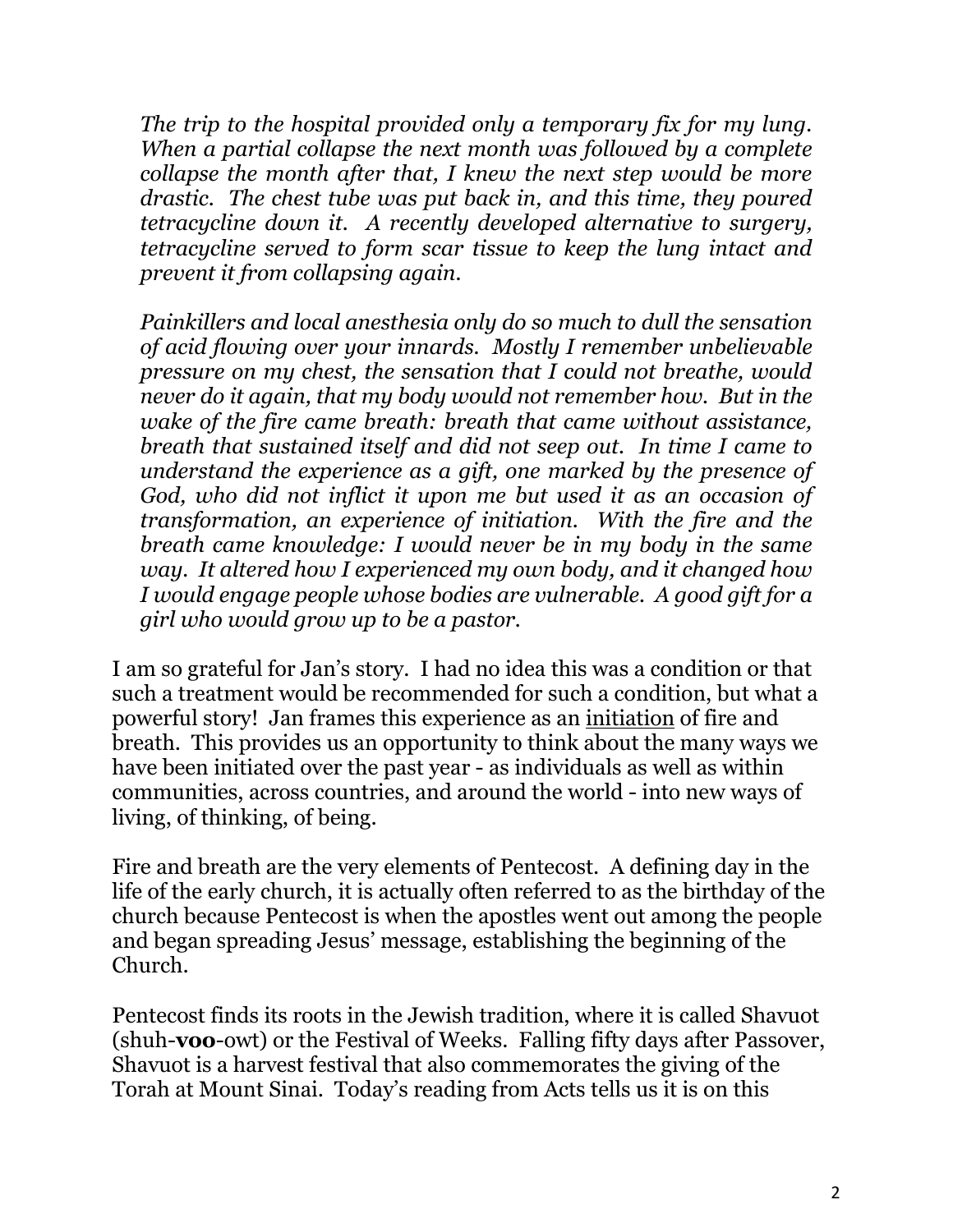*The trip to the hospital provided only a temporary fix for my lung. When a partial collapse the next month was followed by a complete collapse the month after that, I knew the next step would be more drastic. The chest tube was put back in, and this time, they poured tetracycline down it. A recently developed alternative to surgery, tetracycline served to form scar tissue to keep the lung intact and prevent it from collapsing again.*

*Painkillers and local anesthesia only do so much to dull the sensation of acid flowing over your innards. Mostly I remember unbelievable pressure on my chest, the sensation that I could not breathe, would never do it again, that my body would not remember how. But in the wake of the fire came breath: breath that came without assistance, breath that sustained itself and did not seep out. In time I came to understand the experience as a gift, one marked by the presence of God, who did not inflict it upon me but used it as an occasion of transformation, an experience of initiation. With the fire and the breath came knowledge: I would never be in my body in the same way. It altered how I experienced my own body, and it changed how I would engage people whose bodies are vulnerable. A good gift for a girl who would grow up to be a pastor.*

I am so grateful for Jan's story. I had no idea this was a condition or that such a treatment would be recommended for such a condition, but what a powerful story! Jan frames this experience as an initiation of fire and breath. This provides us an opportunity to think about the many ways we have been initiated over the past year - as individuals as well as within communities, across countries, and around the world - into new ways of living, of thinking, of being.

Fire and breath are the very elements of Pentecost. A defining day in the life of the early church, it is actually often referred to as the birthday of the church because Pentecost is when the apostles went out among the people and began spreading Jesus' message, establishing the beginning of the Church.

Pentecost finds its roots in the Jewish tradition, where it is called Shavuot (shuh-**voo**-owt) or the Festival of Weeks. Falling fifty days after Passover, Shavuot is a harvest festival that also commemorates the giving of the Torah at Mount Sinai. Today's reading from Acts tells us it is on this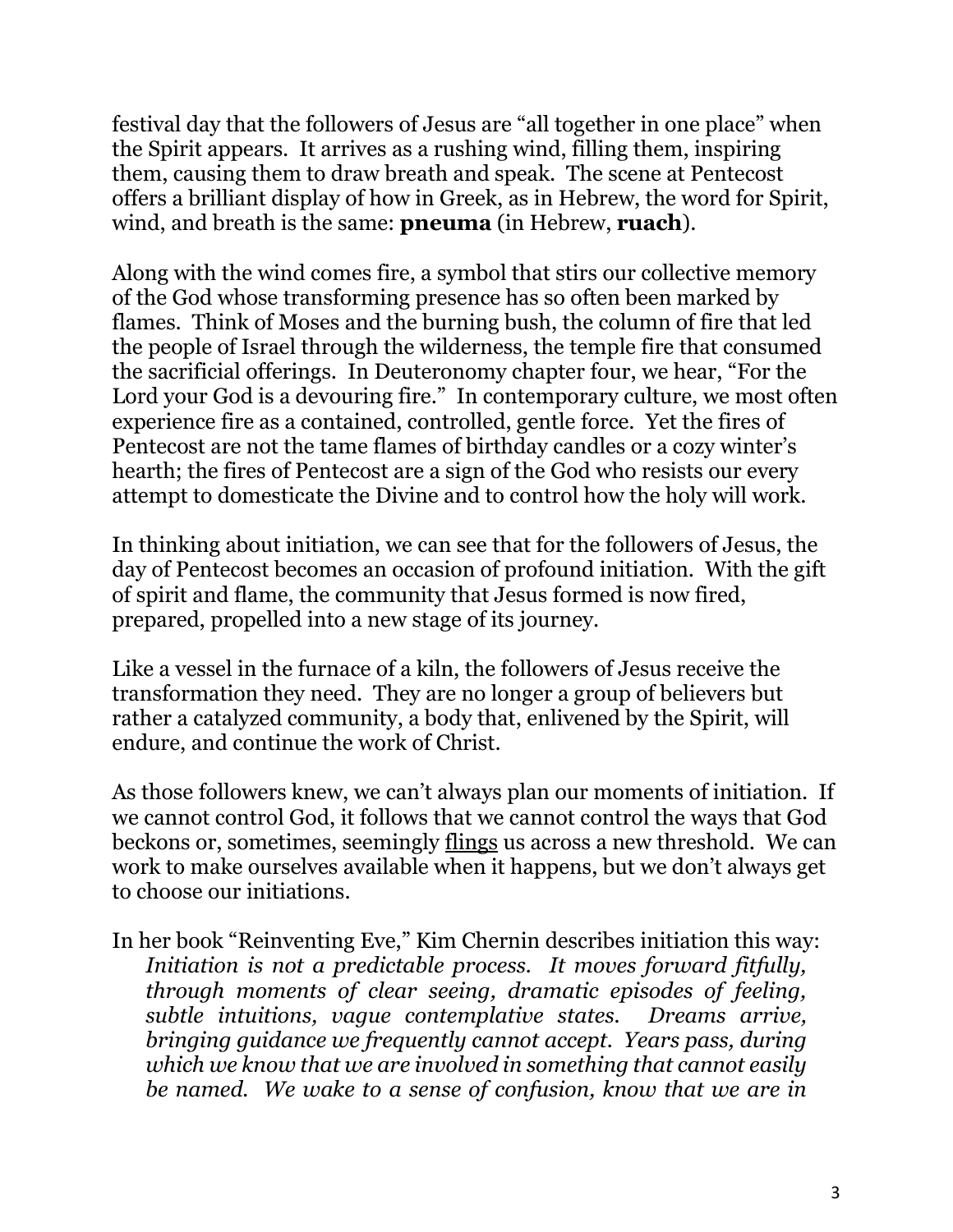festival day that the followers of Jesus are "all together in one place" when the Spirit appears. It arrives as a rushing wind, filling them, inspiring them, causing them to draw breath and speak. The scene at Pentecost offers a brilliant display of how in Greek, as in Hebrew, the word for Spirit, wind, and breath is the same: **pneuma** (in Hebrew, **ruach**).

Along with the wind comes fire, a symbol that stirs our collective memory of the God whose transforming presence has so often been marked by flames. Think of Moses and the burning bush, the column of fire that led the people of Israel through the wilderness, the temple fire that consumed the sacrificial offerings. In Deuteronomy chapter four, we hear, "For the Lord your God is a devouring fire." In contemporary culture, we most often experience fire as a contained, controlled, gentle force. Yet the fires of Pentecost are not the tame flames of birthday candles or a cozy winter's hearth; the fires of Pentecost are a sign of the God who resists our every attempt to domesticate the Divine and to control how the holy will work.

In thinking about initiation, we can see that for the followers of Jesus, the day of Pentecost becomes an occasion of profound initiation. With the gift of spirit and flame, the community that Jesus formed is now fired, prepared, propelled into a new stage of its journey.

Like a vessel in the furnace of a kiln, the followers of Jesus receive the transformation they need. They are no longer a group of believers but rather a catalyzed community, a body that, enlivened by the Spirit, will endure, and continue the work of Christ.

As those followers knew, we can't always plan our moments of initiation. If we cannot control God, it follows that we cannot control the ways that God beckons or, sometimes, seemingly flings us across a new threshold. We can work to make ourselves available when it happens, but we don't always get to choose our initiations.

In her book "Reinventing Eve," Kim Chernin describes initiation this way: *Initiation is not a predictable process. It moves forward fitfully, through moments of clear seeing, dramatic episodes of feeling, subtle intuitions, vague contemplative states. Dreams arrive, bringing guidance we frequently cannot accept. Years pass, during which we know that we are involved in something that cannot easily be named. We wake to a sense of confusion, know that we are in*